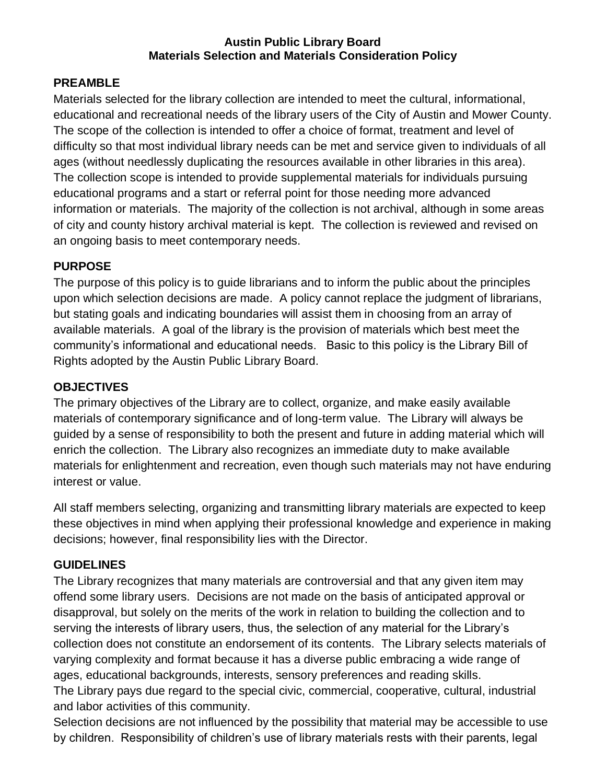#### **Austin Public Library Board Materials Selection and Materials Consideration Policy**

#### **PREAMBLE**

Materials selected for the library collection are intended to meet the cultural, informational, educational and recreational needs of the library users of the City of Austin and Mower County. The scope of the collection is intended to offer a choice of format, treatment and level of difficulty so that most individual library needs can be met and service given to individuals of all ages (without needlessly duplicating the resources available in other libraries in this area). The collection scope is intended to provide supplemental materials for individuals pursuing educational programs and a start or referral point for those needing more advanced information or materials. The majority of the collection is not archival, although in some areas of city and county history archival material is kept. The collection is reviewed and revised on an ongoing basis to meet contemporary needs.

#### **PURPOSE**

The purpose of this policy is to guide librarians and to inform the public about the principles upon which selection decisions are made. A policy cannot replace the judgment of librarians, but stating goals and indicating boundaries will assist them in choosing from an array of available materials. A goal of the library is the provision of materials which best meet the community's informational and educational needs. Basic to this policy is the Library Bill of Rights adopted by the Austin Public Library Board.

### **OBJECTIVES**

The primary objectives of the Library are to collect, organize, and make easily available materials of contemporary significance and of long-term value. The Library will always be guided by a sense of responsibility to both the present and future in adding material which will enrich the collection. The Library also recognizes an immediate duty to make available materials for enlightenment and recreation, even though such materials may not have enduring interest or value.

All staff members selecting, organizing and transmitting library materials are expected to keep these objectives in mind when applying their professional knowledge and experience in making decisions; however, final responsibility lies with the Director.

#### **GUIDELINES**

The Library recognizes that many materials are controversial and that any given item may offend some library users. Decisions are not made on the basis of anticipated approval or disapproval, but solely on the merits of the work in relation to building the collection and to serving the interests of library users, thus, the selection of any material for the Library's collection does not constitute an endorsement of its contents. The Library selects materials of varying complexity and format because it has a diverse public embracing a wide range of ages, educational backgrounds, interests, sensory preferences and reading skills. The Library pays due regard to the special civic, commercial, cooperative, cultural, industrial and labor activities of this community.

Selection decisions are not influenced by the possibility that material may be accessible to use by children. Responsibility of children's use of library materials rests with their parents, legal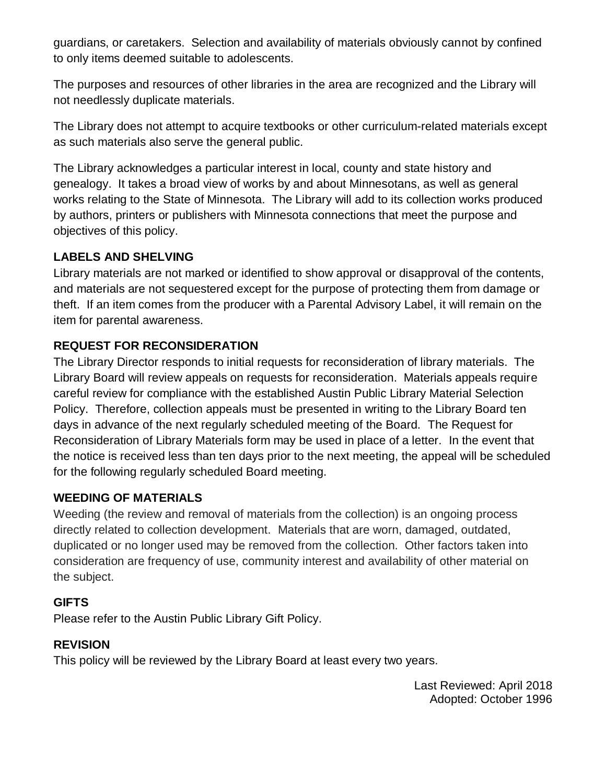guardians, or caretakers. Selection and availability of materials obviously cannot by confined to only items deemed suitable to adolescents.

The purposes and resources of other libraries in the area are recognized and the Library will not needlessly duplicate materials.

The Library does not attempt to acquire textbooks or other curriculum-related materials except as such materials also serve the general public.

The Library acknowledges a particular interest in local, county and state history and genealogy. It takes a broad view of works by and about Minnesotans, as well as general works relating to the State of Minnesota. The Library will add to its collection works produced by authors, printers or publishers with Minnesota connections that meet the purpose and objectives of this policy.

# **LABELS AND SHELVING**

Library materials are not marked or identified to show approval or disapproval of the contents, and materials are not sequestered except for the purpose of protecting them from damage or theft. If an item comes from the producer with a Parental Advisory Label, it will remain on the item for parental awareness.

# **REQUEST FOR RECONSIDERATION**

The Library Director responds to initial requests for reconsideration of library materials. The Library Board will review appeals on requests for reconsideration. Materials appeals require careful review for compliance with the established Austin Public Library Material Selection Policy. Therefore, collection appeals must be presented in writing to the Library Board ten days in advance of the next regularly scheduled meeting of the Board. The Request for Reconsideration of Library Materials form may be used in place of a letter. In the event that the notice is received less than ten days prior to the next meeting, the appeal will be scheduled for the following regularly scheduled Board meeting.

# **WEEDING OF MATERIALS**

Weeding (the review and removal of materials from the collection) is an ongoing process directly related to collection development. Materials that are worn, damaged, outdated, duplicated or no longer used may be removed from the collection. Other factors taken into consideration are frequency of use, community interest and availability of other material on the subject.

# **GIFTS**

Please refer to the Austin Public Library Gift Policy.

# **REVISION**

This policy will be reviewed by the Library Board at least every two years.